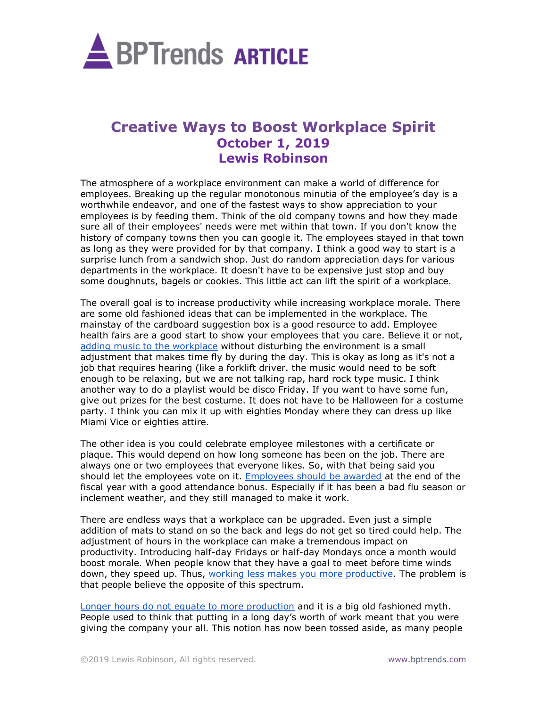

## **Creative Ways to Boost Workplace Spirit October 1, 2019 Lewis Robinson**

The atmosphere of a workplace environment can make a world of difference for employees. Breaking up the regular monotonous minutia of the employee's day is a worthwhile endeavor, and one of the fastest ways to show appreciation to your employees is by feeding them. Think of the old company towns and how they made sure all of their employees' needs were met within that town. If you don't know the history of company towns then you can google it. The employees stayed in that town as long as they were provided for by that company. I think a good way to start is a surprise lunch from a sandwich shop. Just do random appreciation days for various departments in the workplace. It doesn't have to be expensive just stop and buy some doughnuts, bagels or cookies. This little act can lift the spirit of a workplace.

The overall goal is to increase productivity while increasing workplace morale. There are some old fashioned ideas that can be implemented in the workplace. The mainstay of the cardboard suggestion box is a good resource to add. Employee health fairs are a good start to show your employees that you care. Believe it or not, [adding music to the workplace](https://www.inc.com/melissa-chu/research-shows-listening-to-music-increases-produc.html) without disturbing the environment is a small adjustment that makes time fly by during the day. This is okay as long as it's not a job that requires hearing (like a forklift driver. the music would need to be soft enough to be relaxing, but we are not talking rap, hard rock type music. I think another way to do a playlist would be disco Friday. If you want to have some fun, give out prizes for the best costume. It does not have to be Halloween for a costume party. I think you can mix it up with eighties Monday where they can dress up like Miami Vice or eighties attire.

The other idea is you could celebrate employee milestones with a certificate or plaque. This would depend on how long someone has been on the job. There are always one or two employees that everyone likes. So, with that being said you should let the employees vote on it. [Employees should be awarded](https://www.crworldwide.com/en_US/news-ideas/employee-recognition-en_us/benefits-of-employee-rewards-and-recognition/) at the end of the fiscal year with a good attendance bonus. Especially if it has been a bad flu season or inclement weather, and they still managed to make it work.

There are endless ways that a workplace can be upgraded. Even just a simple addition of mats to stand on so the back and legs do not get so tired could help. The adjustment of hours in the workplace can make a tremendous impact on productivity. Introducing half-day Fridays or half-day Mondays once a month would boost morale. When people know that they have a goal to meet before time winds down, they speed up. Thus, [working less makes you more productive.](https://www.bamboohr.com/blog/working-less-more-productive/) The problem is that people believe the opposite of this spectrum.

[Longer hours do not equate to more production](https://smallbusiness.chron.com/advantages-disadvantages-reducing-working-hours-42683.html) and it is a big old fashioned myth. People used to think that putting in a long day's worth of work meant that you were giving the company your all. This notion has now been tossed aside, as many people